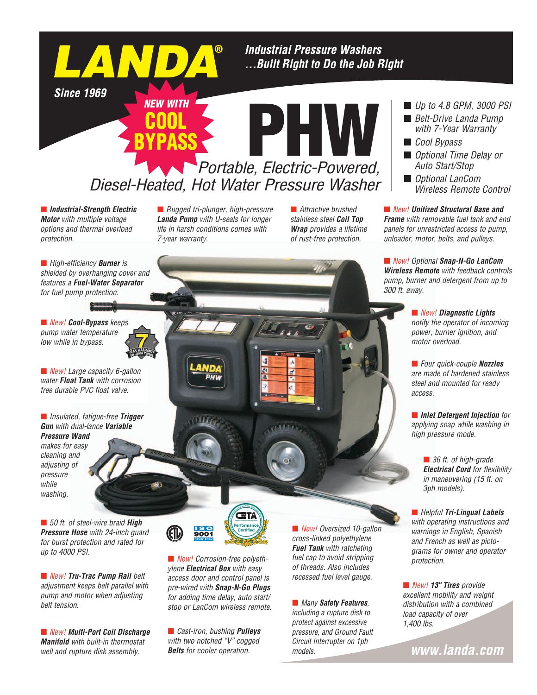**Industrial Pressure Washers** ... Built Right to Do the Job Right

**Since 1969** 

LAN

# *Portable, Electric-Powered,*  PHW *Diesel-Heated, Hot Water Pressure Washer* BYPASS

¢ *Industrial-Strength Electric Motor with multiple voltage options and thermal overload protection.*

■ *Rugged tri-plunger, high-pressure Landa Pump with U-seals for longer life in harsh conditions comes with 7-year warranty.*

*NEW WITH*

COOL

■ *Attractive brushed stainless steel Coil Top Wrap provides a lifetime of rust-free protection.*

■ *Up to 4.8 GPM, 3000 PSI* 

- *Belt-Drive Landa Pump with 7-Year Warranty*
- *Cool Bypass*
- *Optional Time Delay or Auto Start/Stop*
- *Optional LanCom Wireless Remote Control*

■ *New!* Unitized Structural Base and *Frame with removable fuel tank and end panels for unrestricted access to pump, unloader, motor, belts, and pulleys.*

¢ *New! Optional Snap-N-Go LanCom Wireless Remote with feedback controls pump, burner and detergent from up to 300 ft. away.*

> ■ *New! Diagnostic Lights notify the operator of incoming power, burner ignition, and motor overload.*

¢ *Four quick-couple Nozzles are made of hardened stainless steel and mounted for ready access.*

¢ *Inlet Detergent Injection for applying soap while washing in high pressure mode.*

> ■ 36 ft. of high-grade *Electrical Cord for flexibility in maneuvering (15 ft. on 3ph models).*

¢ *Helpful Tri-Lingual Labels with operating instructions and warnings in English, Spanish and French as well as pictograms for owner and operator protection.*

■ *New!* **13" Tires** provide *excellent mobility and weight distribution with a combined load capacity of over 1,400 lbs.*

www.landa.com

¢ *High-efficiency Burner is shielded by overhanging cover and features a Fuel-Water Separator for fuel pump protection.*

¢ *New! Cool-Bypass keeps pump water temperature low while in bypass.*

■ *New!* Large capacity 6-gallon *water Float Tank with corrosion free durable PVC float valve.*

¢ *Insulated, fatigue-free Trigger Gun with dual-lance Variable* 

*Pressure Wand makes for easy cleaning and adjusting of pressure while washing.*

■ 50 ft. of steel-wire braid **High** *Pressure Hose with 24-inch guard for burst protection and rated for up to 4000 PSI.*

■ *New!* **Tru-Trac Pump Rail** belt *adjustment keeps belt parallel with pump and motor when adjusting*  **belt tension.** *belt tension. belt tension. many Safety Features, stop or LanCom wireless remote.* **<b>***and Many Safety Features,* 

¢ *New! Multi-Port Coil Discharge Manifold with built-in thermostat well and rupture disk assembly.*

Performance **Performance** <u>150</u><br>9001 **Certified REGISTERED** 

■ New! Corrosion-free polyeth*ylene Electrical Box with easy access door and control panel is pre-wired with Snap-N-Go Plugs for adding time delay, auto start/*

■ *Cast-iron, bushing Pulleys with two notched "V" cogged Belts for cooler operation.*

■ *New! Oversized 10-gallon cross-linked polyethylene Fuel Tank with ratcheting fuel cap to avoid stripping of threads. Also includes recessed fuel level gauge.*

### *including a rupture disk to*

*protect against excessive pressure, and Ground Fault Circuit Interrupter on 1ph models.*